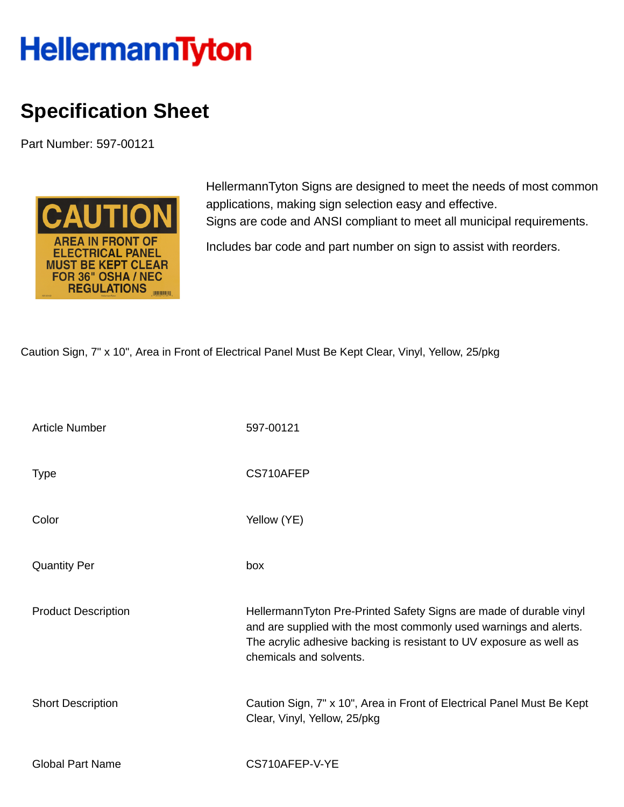## **HellermannTyton**

## **Specification Sheet**

Part Number: 597-00121



HellermannTyton Signs are designed to meet the needs of most common applications, making sign selection easy and effective. Signs are code and ANSI compliant to meet all municipal requirements.

Includes bar code and part number on sign to assist with reorders.

Caution Sign, 7" x 10", Area in Front of Electrical Panel Must Be Kept Clear, Vinyl, Yellow, 25/pkg

| <b>Article Number</b>      | 597-00121                                                                                                                                                                                                                                 |
|----------------------------|-------------------------------------------------------------------------------------------------------------------------------------------------------------------------------------------------------------------------------------------|
| <b>Type</b>                | CS710AFEP                                                                                                                                                                                                                                 |
| Color                      | Yellow (YE)                                                                                                                                                                                                                               |
| <b>Quantity Per</b>        | box                                                                                                                                                                                                                                       |
| <b>Product Description</b> | HellermannTyton Pre-Printed Safety Signs are made of durable vinyl<br>and are supplied with the most commonly used warnings and alerts.<br>The acrylic adhesive backing is resistant to UV exposure as well as<br>chemicals and solvents. |
| <b>Short Description</b>   | Caution Sign, 7" x 10", Area in Front of Electrical Panel Must Be Kept<br>Clear, Vinyl, Yellow, 25/pkg                                                                                                                                    |
| <b>Global Part Name</b>    | CS710AFEP-V-YE                                                                                                                                                                                                                            |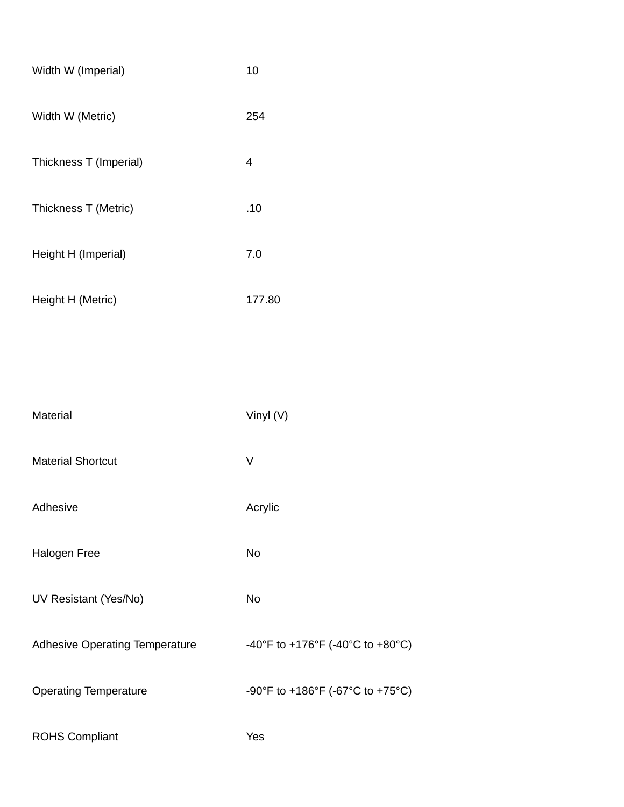| Width W (Imperial)     | 10     |
|------------------------|--------|
| Width W (Metric)       | 254    |
| Thickness T (Imperial) | 4      |
| Thickness T (Metric)   | .10    |
| Height H (Imperial)    | 7.0    |
| Height H (Metric)      | 177.80 |
|                        |        |

| Material                              | Vinyl (V)                        |
|---------------------------------------|----------------------------------|
| <b>Material Shortcut</b>              | V                                |
| Adhesive                              | Acrylic                          |
| <b>Halogen Free</b>                   | <b>No</b>                        |
| UV Resistant (Yes/No)                 | <b>No</b>                        |
| <b>Adhesive Operating Temperature</b> | -40°F to +176°F (-40°C to +80°C) |
| <b>Operating Temperature</b>          | -90°F to +186°F (-67°C to +75°C) |
| <b>ROHS Compliant</b>                 | Yes                              |